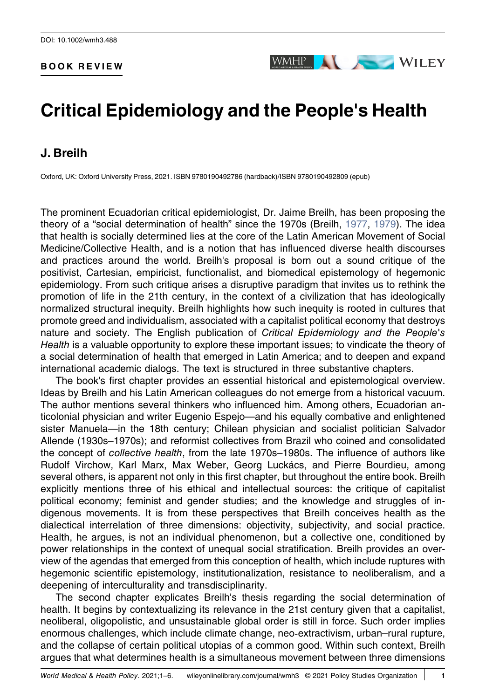#### BOOK REVIEW



# Critical Epidemiology and the People's Health

## J. Breilh

Oxford, UK: Oxford University Press, 2021. ISBN 9780190492786 (hardback)/ISBN 9780190492809 (epub)

The prominent Ecuadorian critical epidemiologist, Dr. Jaime Breilh, has been proposing the theory of a "social determination of health" since the 1970s (Breilh, [1977,](#page-5-0) [1979](#page-5-1)). The idea that health is socially determined lies at the core of the Latin American Movement of Social Medicine/Collective Health, and is a notion that has influenced diverse health discourses and practices around the world. Breilh's proposal is born out a sound critique of the positivist, Cartesian, empiricist, functionalist, and biomedical epistemology of hegemonic epidemiology. From such critique arises a disruptive paradigm that invites us to rethink the promotion of life in the 21th century, in the context of a civilization that has ideologically normalized structural inequity. Breilh highlights how such inequity is rooted in cultures that promote greed and individualism, associated with a capitalist political economy that destroys nature and society. The English publication of Critical Epidemiology and the People's Health is a valuable opportunity to explore these important issues; to vindicate the theory of a social determination of health that emerged in Latin America; and to deepen and expand international academic dialogs. The text is structured in three substantive chapters.

The book's first chapter provides an essential historical and epistemological overview. Ideas by Breilh and his Latin American colleagues do not emerge from a historical vacuum. The author mentions several thinkers who influenced him. Among others, Ecuadorian anticolonial physician and writer Eugenio Espejo—and his equally combative and enlightened sister Manuela—in the 18th century; Chilean physician and socialist politician Salvador Allende (1930s–1970s); and reformist collectives from Brazil who coined and consolidated the concept of collective health, from the late 1970s–1980s. The influence of authors like Rudolf Virchow, Karl Marx, Max Weber, Georg Luckács, and Pierre Bourdieu, among several others, is apparent not only in this first chapter, but throughout the entire book. Breilh explicitly mentions three of his ethical and intellectual sources: the critique of capitalist political economy; feminist and gender studies; and the knowledge and struggles of indigenous movements. It is from these perspectives that Breilh conceives health as the dialectical interrelation of three dimensions: objectivity, subjectivity, and social practice. Health, he argues, is not an individual phenomenon, but a collective one, conditioned by power relationships in the context of unequal social stratification. Breilh provides an overview of the agendas that emerged from this conception of health, which include ruptures with hegemonic scientific epistemology, institutionalization, resistance to neoliberalism, and a deepening of interculturality and transdisciplinarity.

The second chapter explicates Breilh's thesis regarding the social determination of health. It begins by contextualizing its relevance in the 21st century given that a capitalist, neoliberal, oligopolistic, and unsustainable global order is still in force. Such order implies enormous challenges, which include climate change, neo‐extractivism, urban–rural rupture, and the collapse of certain political utopias of a common good. Within such context, Breilh argues that what determines health is a simultaneous movement between three dimensions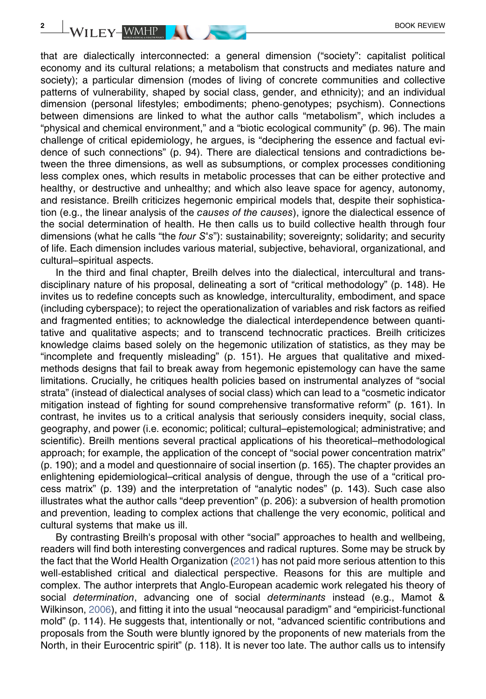that are dialectically interconnected: a general dimension ("society": capitalist political economy and its cultural relations; a metabolism that constructs and mediates nature and society); a particular dimension (modes of living of concrete communities and collective patterns of vulnerability, shaped by social class, gender, and ethnicity); and an individual dimension (personal lifestyles; embodiments; pheno‐genotypes; psychism). Connections between dimensions are linked to what the author calls "metabolism", which includes a "physical and chemical environment," and a "biotic ecological community" (p. 96). The main challenge of critical epidemiology, he argues, is "deciphering the essence and factual evidence of such connections" (p. 94). There are dialectical tensions and contradictions between the three dimensions, as well as subsumptions, or complex processes conditioning less complex ones, which results in metabolic processes that can be either protective and healthy, or destructive and unhealthy; and which also leave space for agency, autonomy, and resistance. Breilh criticizes hegemonic empirical models that, despite their sophistication (e.g., the linear analysis of the causes of the causes), ignore the dialectical essence of the social determination of health. He then calls us to build collective health through four dimensions (what he calls "the four S's"): sustainability; sovereignty; solidarity; and security of life. Each dimension includes various material, subjective, behavioral, organizational, and cultural–spiritual aspects.

In the third and final chapter, Breilh delves into the dialectical, intercultural and transdisciplinary nature of his proposal, delineating a sort of "critical methodology" (p. 148). He invites us to redefine concepts such as knowledge, interculturality, embodiment, and space (including cyberspace); to reject the operationalization of variables and risk factors as reified and fragmented entities; to acknowledge the dialectical interdependence between quantitative and qualitative aspects; and to transcend technocratic practices. Breilh criticizes knowledge claims based solely on the hegemonic utilization of statistics, as they may be "incomplete and frequently misleading" (p. 151). He argues that qualitative and mixed‐ methods designs that fail to break away from hegemonic epistemology can have the same limitations. Crucially, he critiques health policies based on instrumental analyzes of "social strata" (instead of dialectical analyses of social class) which can lead to a "cosmetic indicator mitigation instead of fighting for sound comprehensive transformative reform" (p. 161). In contrast, he invites us to a critical analysis that seriously considers inequity, social class, geography, and power (i.e. economic; political; cultural–epistemological; administrative; and scientific). Breilh mentions several practical applications of his theoretical–methodological approach; for example, the application of the concept of "social power concentration matrix" (p. 190); and a model and questionnaire of social insertion (p. 165). The chapter provides an enlightening epidemiological–critical analysis of dengue, through the use of a "critical process matrix" (p. 139) and the interpretation of "analytic nodes" (p. 143). Such case also illustrates what the author calls "deep prevention" (p. 206): a subversion of health promotion and prevention, leading to complex actions that challenge the very economic, political and cultural systems that make us ill.

By contrasting Breilh's proposal with other "social" approaches to health and wellbeing, readers will find both interesting convergences and radical ruptures. Some may be struck by the fact that the World Health Organization [\(2021](#page-5-2)) has not paid more serious attention to this well-established critical and dialectical perspective. Reasons for this are multiple and complex. The author interprets that Anglo‐European academic work relegated his theory of social determination, advancing one of social determinants instead (e.g., Mamot & Wilkinson, [2006\)](#page-5-3), and fitting it into the usual "neocausal paradigm" and "empiricist‐functional mold" (p. 114). He suggests that, intentionally or not, "advanced scientific contributions and proposals from the South were bluntly ignored by the proponents of new materials from the North, in their Eurocentric spirit" (p. 118). It is never too late. The author calls us to intensify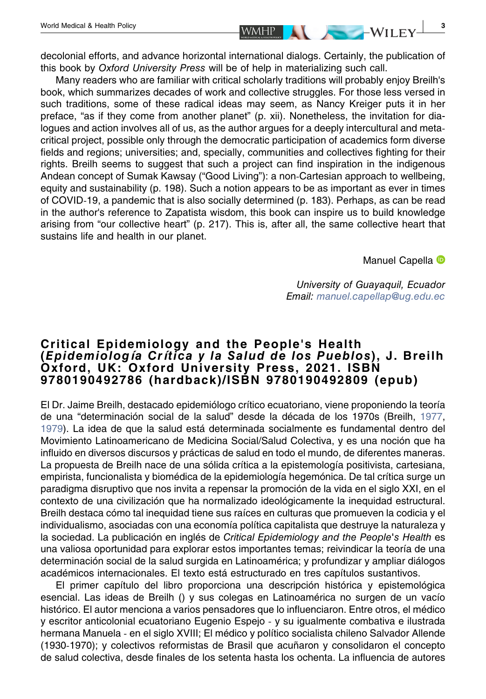decolonial efforts, and advance horizontal international dialogs. Certainly, the publication of this book by Oxford University Press will be of help in materializing such call.

Many readers who are familiar with critical scholarly traditions will probably enjoy Breilh's book, which summarizes decades of work and collective struggles. For those less versed in such traditions, some of these radical ideas may seem, as Nancy Kreiger puts it in her preface, "as if they come from another planet" (p. xii). Nonetheless, the invitation for dialogues and action involves all of us, as the author argues for a deeply intercultural and meta‐ critical project, possible only through the democratic participation of academics form diverse fields and regions; universities; and, specially, communities and collectives fighting for their rights. Breilh seems to suggest that such a project can find inspiration in the indigenous Andean concept of Sumak Kawsay ("Good Living"): a non‐Cartesian approach to wellbeing, equity and sustainability (p. 198). Such a notion appears to be as important as ever in times of COVID‐19, a pandemic that is also socially determined (p. 183). Perhaps, as can be read in the author's reference to Zapatista wisdom, this book can inspire us to build knowledge arising from "our collective heart" (p. 217). This is, after all, the same collective heart that sustains life and health in our planet.

M[a](http://orcid.org/0000-0001-8087-8718)nuel Capella <sup>®</sup>

University of Guayaquil, Ecuador Email: [manuel.capellap@ug.edu.ec](mailto:manuel.capellap@ug.edu.ec)

## Critical Epidemiology and the People's Health (Epidemiología Crítica y la Salud de los Pueblos), J. Breilh Oxford, UK: Oxford University Press, 2021. ISBN 9780190492786 (hardback)/ISBN 9780190492809 (epub)

El Dr. Jaime Breilh, destacado epidemiólogo crítico ecuatoriano, viene proponiendo la teoría de una "determinación social de la salud" desde la década de los 1970s (Breilh, [1977](#page-5-0), [1979\)](#page-5-1). La idea de que la salud está determinada socialmente es fundamental dentro del Movimiento Latinoamericano de Medicina Social/Salud Colectiva, y es una noción que ha influido en diversos discursos y prácticas de salud en todo el mundo, de diferentes maneras. La propuesta de Breilh nace de una sólida crítica a la epistemología positivista, cartesiana, empirista, funcionalista y biomédica de la epidemiología hegemónica. De tal crítica surge un paradigma disruptivo que nos invita a repensar la promoción de la vida en el siglo XXI, en el contexto de una civilización que ha normalizado ideológicamente la inequidad estructural. Breilh destaca cómo tal inequidad tiene sus raíces en culturas que promueven la codicia y el individualismo, asociadas con una economía política capitalista que destruye la naturaleza y la sociedad. La publicación en inglés de Critical Epidemiology and the People's Health es una valiosa oportunidad para explorar estos importantes temas; reivindicar la teoría de una determinación social de la salud surgida en Latinoamérica; y profundizar y ampliar diálogos académicos internacionales. El texto está estructurado en tres capítulos sustantivos.

El primer capítulo del libro proporciona una descripción histórica y epistemológica esencial. Las ideas de Breilh () y sus colegas en Latinoamérica no surgen de un vacío histórico. El autor menciona a varios pensadores que lo influenciaron. Entre otros, el médico y escritor anticolonial ecuatoriano Eugenio Espejo ‐ y su igualmente combativa e ilustrada hermana Manuela ‐ en el siglo XVIII; El médico y político socialista chileno Salvador Allende (1930‐1970); y colectivos reformistas de Brasil que acuñaron y consolidaron el concepto de salud colectiva, desde finales de los setenta hasta los ochenta. La influencia de autores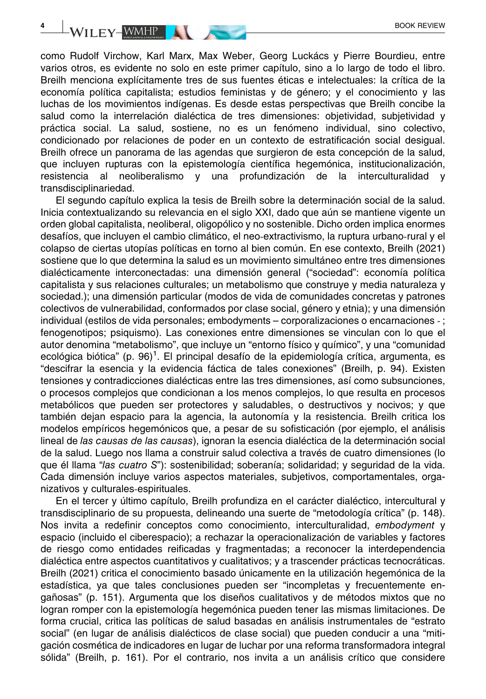como Rudolf Virchow, Karl Marx, Max Weber, Georg Luckács y Pierre Bourdieu, entre varios otros, es evidente no solo en este primer capítulo, sino a lo largo de todo el libro. Breilh menciona explícitamente tres de sus fuentes éticas e intelectuales: la crítica de la economía política capitalista; estudios feministas y de género; y el conocimiento y las luchas de los movimientos indígenas. Es desde estas perspectivas que Breilh concibe la salud como la interrelación dialéctica de tres dimensiones: objetividad, subjetividad y práctica social. La salud, sostiene, no es un fenómeno individual, sino colectivo, condicionado por relaciones de poder en un contexto de estratificación social desigual. Breilh ofrece un panorama de las agendas que surgieron de esta concepción de la salud, que incluyen rupturas con la epistemología científica hegemónica, institucionalización, resistencia al neoliberalismo y una profundización de la interculturalidad transdisciplinariedad.

El segundo capítulo explica la tesis de Breilh sobre la determinación social de la salud. Inicia contextualizando su relevancia en el siglo XXI, dado que aún se mantiene vigente un orden global capitalista, neoliberal, oligopólico y no sostenible. Dicho orden implica enormes desafíos, que incluyen el cambio climático, el neo‐extractivismo, la ruptura urbano‐rural y el colapso de ciertas utopías políticas en torno al bien común. En ese contexto, Breilh (2021) sostiene que lo que determina la salud es un movimiento simultáneo entre tres dimensiones dialécticamente interconectadas: una dimensión general ("sociedad": economía política capitalista y sus relaciones culturales; un metabolismo que construye y media naturaleza y sociedad.); una dimensión particular (modos de vida de comunidades concretas y patrones colectivos de vulnerabilidad, conformados por clase social, género y etnia); y una dimensión individual (estilos de vida personales; embodyments – corporalizaciones o encarnaciones ‐ ; fenogenotipos; psiquismo). Las conexiones entre dimensiones se vinculan con lo que el autor denomina "metabolismo", que incluye un "entorno físico y químico", y una "comunidad ecológica biótica" (p. 96)<sup>1</sup>. El principal desafío de la epidemiología crítica, argumenta, es "descifrar la esencia y la evidencia fáctica de tales conexiones" (Breilh, p. 94). Existen tensiones y contradicciones dialécticas entre las tres dimensiones, así como subsunciones, o procesos complejos que condicionan a los menos complejos, lo que resulta en procesos metabólicos que pueden ser protectores y saludables, o destructivos y nocivos; y que también dejan espacio para la agencia, la autonomía y la resistencia. Breilh critica los modelos empíricos hegemónicos que, a pesar de su sofisticación (por ejemplo, el análisis lineal de las causas de las causas), ignoran la esencia dialéctica de la determinación social de la salud. Luego nos llama a construir salud colectiva a través de cuatro dimensiones (lo que él llama "las cuatro S"): sostenibilidad; soberanía; solidaridad; y seguridad de la vida. Cada dimensión incluye varios aspectos materiales, subjetivos, comportamentales, organizativos y culturales‐espirituales.

En el tercer y último capítulo, Breilh profundiza en el carácter dialéctico, intercultural y transdisciplinario de su propuesta, delineando una suerte de "metodología crítica" (p. 148). Nos invita a redefinir conceptos como conocimiento, interculturalidad, embodyment y espacio (incluido el ciberespacio); a rechazar la operacionalización de variables y factores de riesgo como entidades reificadas y fragmentadas; a reconocer la interdependencia dialéctica entre aspectos cuantitativos y cualitativos; y a trascender prácticas tecnocráticas. Breilh (2021) critica el conocimiento basado únicamente en la utilización hegemónica de la estadística, ya que tales conclusiones pueden ser "incompletas y frecuentemente engañosas" (p. 151). Argumenta que los diseños cualitativos y de métodos mixtos que no logran romper con la epistemología hegemónica pueden tener las mismas limitaciones. De forma crucial, critica las políticas de salud basadas en análisis instrumentales de "estrato social" (en lugar de análisis dialécticos de clase social) que pueden conducir a una "mitigación cosmética de indicadores en lugar de luchar por una reforma transformadora integral sólida" (Breilh, p. 161). Por el contrario, nos invita a un análisis crítico que considere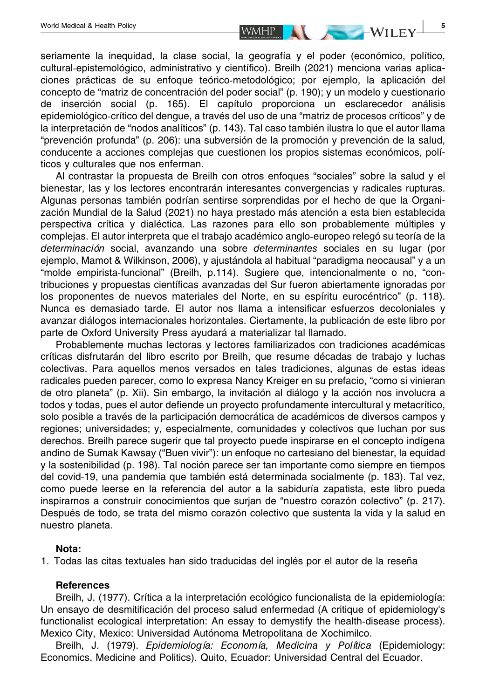seriamente la inequidad, la clase social, la geografía y el poder (económico, político, cultural‐epistemológico, administrativo y científico). Breilh (2021) menciona varias aplicaciones prácticas de su enfoque teórico‐metodológico; por ejemplo, la aplicación del concepto de "matriz de concentración del poder social" (p. 190); y un modelo y cuestionario de inserción social (p. 165). El capítulo proporciona un esclarecedor análisis epidemiológico‐crítico del dengue, a través del uso de una "matriz de procesos críticos" y de la interpretación de "nodos analíticos" (p. 143). Tal caso también ilustra lo que el autor llama "prevención profunda" (p. 206): una subversión de la promoción y prevención de la salud, conducente a acciones complejas que cuestionen los propios sistemas económicos, políticos y culturales que nos enferman.

Al contrastar la propuesta de Breilh con otros enfoques "sociales" sobre la salud y el bienestar, las y los lectores encontrarán interesantes convergencias y radicales rupturas. Algunas personas también podrían sentirse sorprendidas por el hecho de que la Organización Mundial de la Salud (2021) no haya prestado más atención a esta bien establecida perspectiva crítica y dialéctica. Las razones para ello son probablemente múltiples y complejas. El autor interpreta que el trabajo académico anglo‐europeo relegó su teoría de la determinación social, avanzando una sobre determinantes sociales en su lugar (por ejemplo, Mamot & Wilkinson, 2006), y ajustándola al habitual "paradigma neocausal" y a un "molde empirista‐funcional" (Breilh, p.114). Sugiere que, intencionalmente o no, "contribuciones y propuestas científicas avanzadas del Sur fueron abiertamente ignoradas por los proponentes de nuevos materiales del Norte, en su espíritu eurocéntrico" (p. 118). Nunca es demasiado tarde. El autor nos llama a intensificar esfuerzos decoloniales y avanzar diálogos internacionales horizontales. Ciertamente, la publicación de este libro por parte de Oxford University Press ayudará a materializar tal llamado.

Probablemente muchas lectoras y lectores familiarizados con tradiciones académicas críticas disfrutarán del libro escrito por Breilh, que resume décadas de trabajo y luchas colectivas. Para aquellos menos versados en tales tradiciones, algunas de estas ideas radicales pueden parecer, como lo expresa Nancy Kreiger en su prefacio, "como si vinieran de otro planeta" (p. Xii). Sin embargo, la invitación al diálogo y la acción nos involucra a todos y todas, pues el autor defiende un proyecto profundamente intercultural y metacrítico, solo posible a través de la participación democrática de académicos de diversos campos y regiones; universidades; y, especialmente, comunidades y colectivos que luchan por sus derechos. Breilh parece sugerir que tal proyecto puede inspirarse en el concepto indígena andino de Sumak Kawsay ("Buen vivir"): un enfoque no cartesiano del bienestar, la equidad y la sostenibilidad (p. 198). Tal noción parece ser tan importante como siempre en tiempos del covid‐19, una pandemia que también está determinada socialmente (p. 183). Tal vez, como puede leerse en la referencia del autor a la sabiduría zapatista, este libro pueda inspirarnos a construir conocimientos que surjan de "nuestro corazón colectivo" (p. 217). Después de todo, se trata del mismo corazón colectivo que sustenta la vida y la salud en nuestro planeta.

### Nota:

1. Todas las citas textuales han sido traducidas del inglés por el autor de la reseña

### **References**

Breilh, J. (1977). Crítica a la interpretación ecológico funcionalista de la epidemiología: Un ensayo de desmitificación del proceso salud enfermedad (A critique of epidemiology's functionalist ecological interpretation: An essay to demystify the health-disease process). Mexico City, Mexico: Universidad Autónoma Metropolitana de Xochimilco.

Breilh, J. (1979). Epidemiología: Economía, Medicina y Política (Epidemiology: Economics, Medicine and Politics). Quito, Ecuador: Universidad Central del Ecuador.